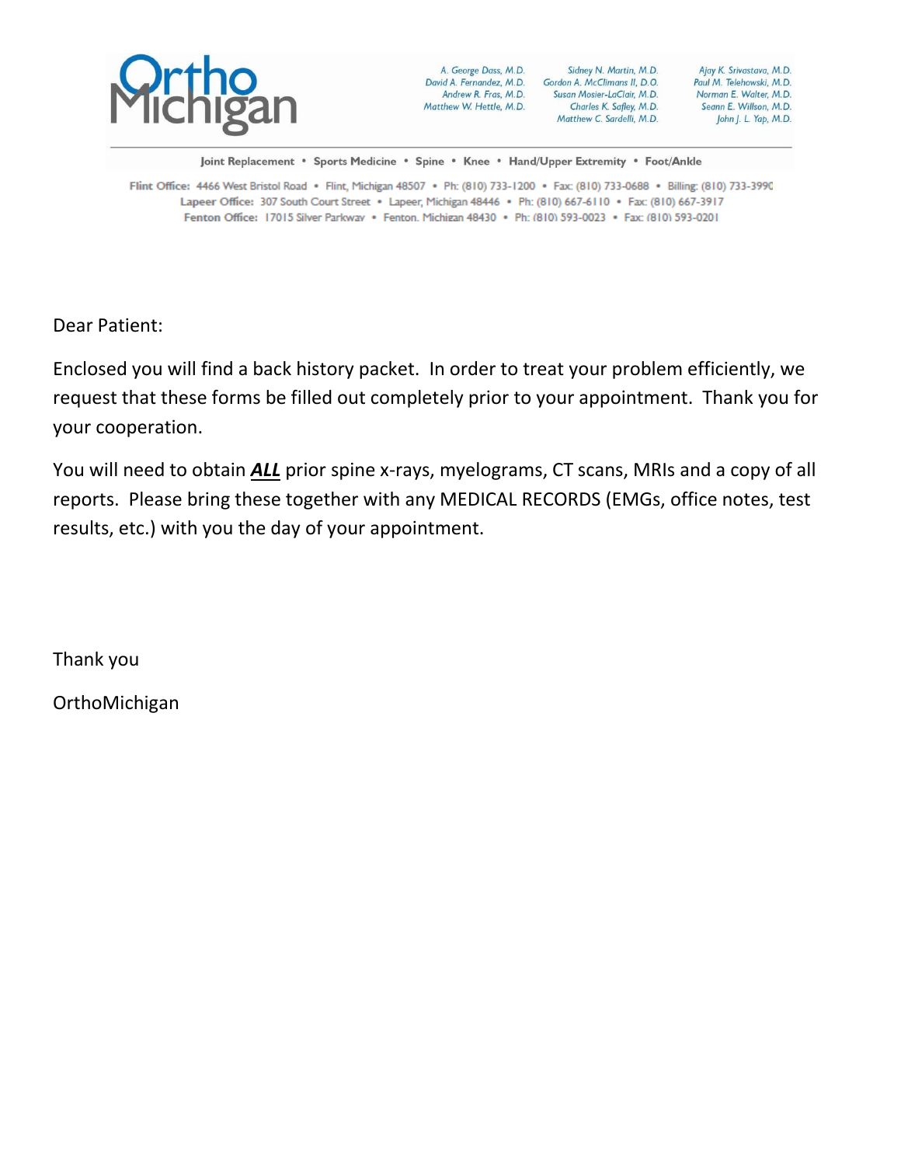

Joint Replacement · Sports Medicine · Spine · Knee · Hand/Upper Extremity · Foot/Ankle

Flint Office: 4466 West Bristol Road · Flint, Michigan 48507 · Ph: (810) 733-1200 · Fax: (810) 733-0688 · Billing: (810) 733-3990 Lapeer Office: 307 South Court Street · Lapeer, Michigan 48446 · Ph: (810) 667-6110 · Fax: (810) 667-3917 Fenton Office: 17015 Silver Parkwav · Fenton. Michigan 48430 · Ph: (810) 593-0023 · Fax: (810) 593-0201

Dear Patient:

Enclosed you will find a back history packet. In order to treat your problem efficiently, we request that these forms be filled out completely prior to your appointment. Thank you for your cooperation.

You will need to obtain *ALL* prior spine x-rays, myelograms, CT scans, MRIs and a copy of all reports. Please bring these together with any MEDICAL RECORDS (EMGs, office notes, test results, etc.) with you the day of your appointment.

Thank you

OrthoMichigan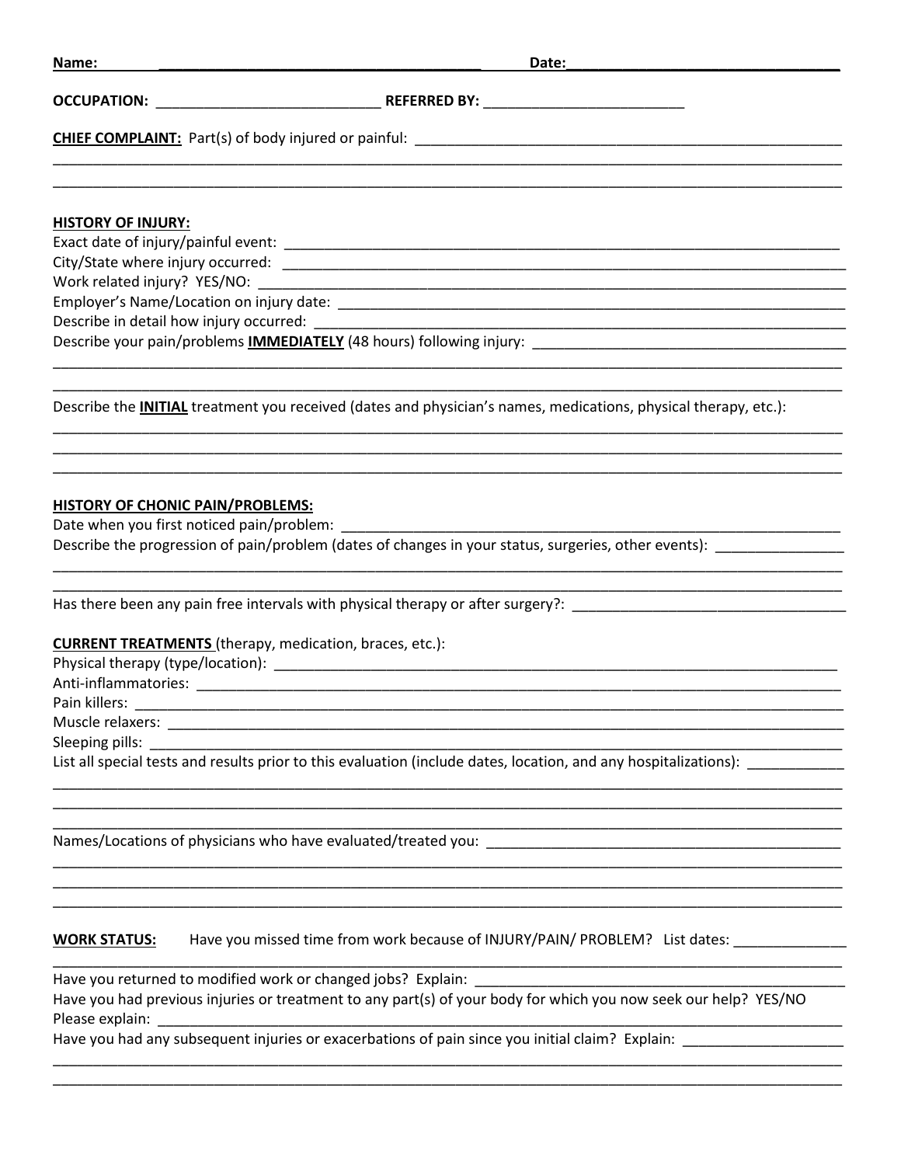| Name:                            | Date: <u>___________________________</u>                                                                               |  |  |  |  |  |
|----------------------------------|------------------------------------------------------------------------------------------------------------------------|--|--|--|--|--|
|                                  |                                                                                                                        |  |  |  |  |  |
|                                  |                                                                                                                        |  |  |  |  |  |
| <b>HISTORY OF INJURY:</b>        |                                                                                                                        |  |  |  |  |  |
|                                  |                                                                                                                        |  |  |  |  |  |
|                                  |                                                                                                                        |  |  |  |  |  |
|                                  |                                                                                                                        |  |  |  |  |  |
|                                  |                                                                                                                        |  |  |  |  |  |
|                                  |                                                                                                                        |  |  |  |  |  |
|                                  |                                                                                                                        |  |  |  |  |  |
|                                  | Describe the <b>INITIAL</b> treatment you received (dates and physician's names, medications, physical therapy, etc.): |  |  |  |  |  |
|                                  |                                                                                                                        |  |  |  |  |  |
| HISTORY OF CHONIC PAIN/PROBLEMS: |                                                                                                                        |  |  |  |  |  |
|                                  |                                                                                                                        |  |  |  |  |  |
|                                  | Describe the progression of pain/problem (dates of changes in your status, surgeries, other events):                   |  |  |  |  |  |
|                                  | Has there been any pain free intervals with physical therapy or after surgery?: ______________________________         |  |  |  |  |  |

#### **CURRENT TREATMENTS** (therapy, medication, braces, etc.):

Sleeping pills: \_\_

List all special tests and results prior to this evaluation (include dates, location, and any hospitalizations):

Names/Locations of physicians who have evaluated/treated you: Names/Locations of physicians who have evaluated/treated you:

#### Have you missed time from work because of INJURY/PAIN/ PROBLEM? List dates: \_\_\_\_\_\_\_\_\_\_\_\_\_\_\_ **WORK STATUS:**

Have you returned to modified work or changed jobs? Explain: Have you had previous injuries or treatment to any part(s) of your body for which you now seek our help? YES/NO Please explain:

Have you had any subsequent injuries or exacerbations of pain since you initial claim? Explain: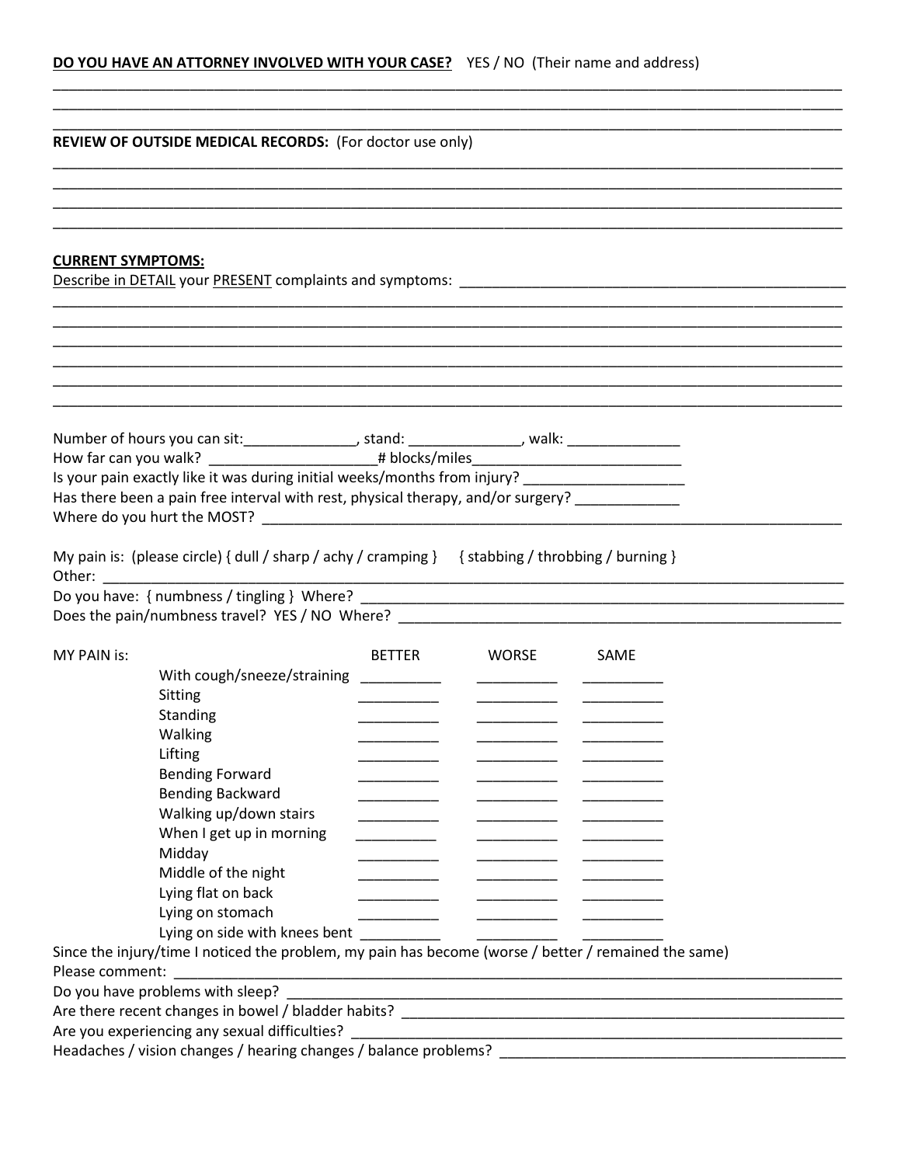# DO YOU HAVE AN ATTORNEY INVOLVED WITH YOUR CASE? YES / NO (Their name and address)

|                          | <b>REVIEW OF OUTSIDE MEDICAL RECORDS:</b> (For doctor use only)                                      |                                                                                                                       |                                                                                                                                                                                                                                |
|--------------------------|------------------------------------------------------------------------------------------------------|-----------------------------------------------------------------------------------------------------------------------|--------------------------------------------------------------------------------------------------------------------------------------------------------------------------------------------------------------------------------|
|                          |                                                                                                      |                                                                                                                       |                                                                                                                                                                                                                                |
|                          |                                                                                                      |                                                                                                                       |                                                                                                                                                                                                                                |
|                          |                                                                                                      |                                                                                                                       |                                                                                                                                                                                                                                |
| <b>CURRENT SYMPTOMS:</b> |                                                                                                      |                                                                                                                       |                                                                                                                                                                                                                                |
|                          |                                                                                                      |                                                                                                                       | Describe in DETAIL your PRESENT complaints and symptoms: Lawrence and the control of the control of the control of the control of the control of the control of the control of the control of the control of the control of th |
|                          |                                                                                                      |                                                                                                                       |                                                                                                                                                                                                                                |
|                          |                                                                                                      |                                                                                                                       |                                                                                                                                                                                                                                |
|                          |                                                                                                      |                                                                                                                       |                                                                                                                                                                                                                                |
|                          |                                                                                                      |                                                                                                                       |                                                                                                                                                                                                                                |
|                          |                                                                                                      |                                                                                                                       |                                                                                                                                                                                                                                |
|                          |                                                                                                      |                                                                                                                       |                                                                                                                                                                                                                                |
|                          | Is your pain exactly like it was during initial weeks/months from injury? _________________________  |                                                                                                                       |                                                                                                                                                                                                                                |
|                          | Has there been a pain free interval with rest, physical therapy, and/or surgery?                     |                                                                                                                       |                                                                                                                                                                                                                                |
|                          |                                                                                                      |                                                                                                                       |                                                                                                                                                                                                                                |
| Other:                   | My pain is: (please circle) { dull / sharp / achy / cramping } { stabbing / throbbing / burning }    |                                                                                                                       |                                                                                                                                                                                                                                |
|                          | Does the pain/numbness travel? YES / NO Where?                                                       |                                                                                                                       |                                                                                                                                                                                                                                |
| MY PAIN is:              |                                                                                                      | BETTER WORSE                                                                                                          | SAME                                                                                                                                                                                                                           |
|                          | With cough/sneeze/straining __________                                                               |                                                                                                                       |                                                                                                                                                                                                                                |
|                          | Sitting                                                                                              |                                                                                                                       |                                                                                                                                                                                                                                |
|                          | Standing                                                                                             |                                                                                                                       |                                                                                                                                                                                                                                |
|                          | Walking                                                                                              |                                                                                                                       |                                                                                                                                                                                                                                |
|                          | Lifting                                                                                              |                                                                                                                       |                                                                                                                                                                                                                                |
|                          | <b>Bending Forward</b>                                                                               |                                                                                                                       |                                                                                                                                                                                                                                |
|                          | <b>Bending Backward</b>                                                                              |                                                                                                                       |                                                                                                                                                                                                                                |
|                          | Walking up/down stairs                                                                               |                                                                                                                       |                                                                                                                                                                                                                                |
|                          | When I get up in morning                                                                             |                                                                                                                       |                                                                                                                                                                                                                                |
|                          | Midday                                                                                               |                                                                                                                       |                                                                                                                                                                                                                                |
|                          | Middle of the night                                                                                  |                                                                                                                       |                                                                                                                                                                                                                                |
|                          | Lying flat on back                                                                                   |                                                                                                                       |                                                                                                                                                                                                                                |
|                          | Lying on stomach                                                                                     |                                                                                                                       |                                                                                                                                                                                                                                |
|                          | Lying on side with knees bent _________                                                              | <u> 1986 - Andrea Albert III, prestavan postajni predsjednik postajni predsjednik postajni predsjednik postajni p</u> |                                                                                                                                                                                                                                |
|                          | Since the injury/time I noticed the problem, my pain has become (worse / better / remained the same) |                                                                                                                       |                                                                                                                                                                                                                                |
| Please comment:          |                                                                                                      |                                                                                                                       |                                                                                                                                                                                                                                |
|                          | Do you have problems with sleep?                                                                     |                                                                                                                       |                                                                                                                                                                                                                                |
|                          |                                                                                                      |                                                                                                                       |                                                                                                                                                                                                                                |
|                          | Are you experiencing any sexual difficulties? _                                                      |                                                                                                                       | Headaches / vision changes / hearing changes / balance problems?                                                                                                                                                               |
|                          |                                                                                                      |                                                                                                                       |                                                                                                                                                                                                                                |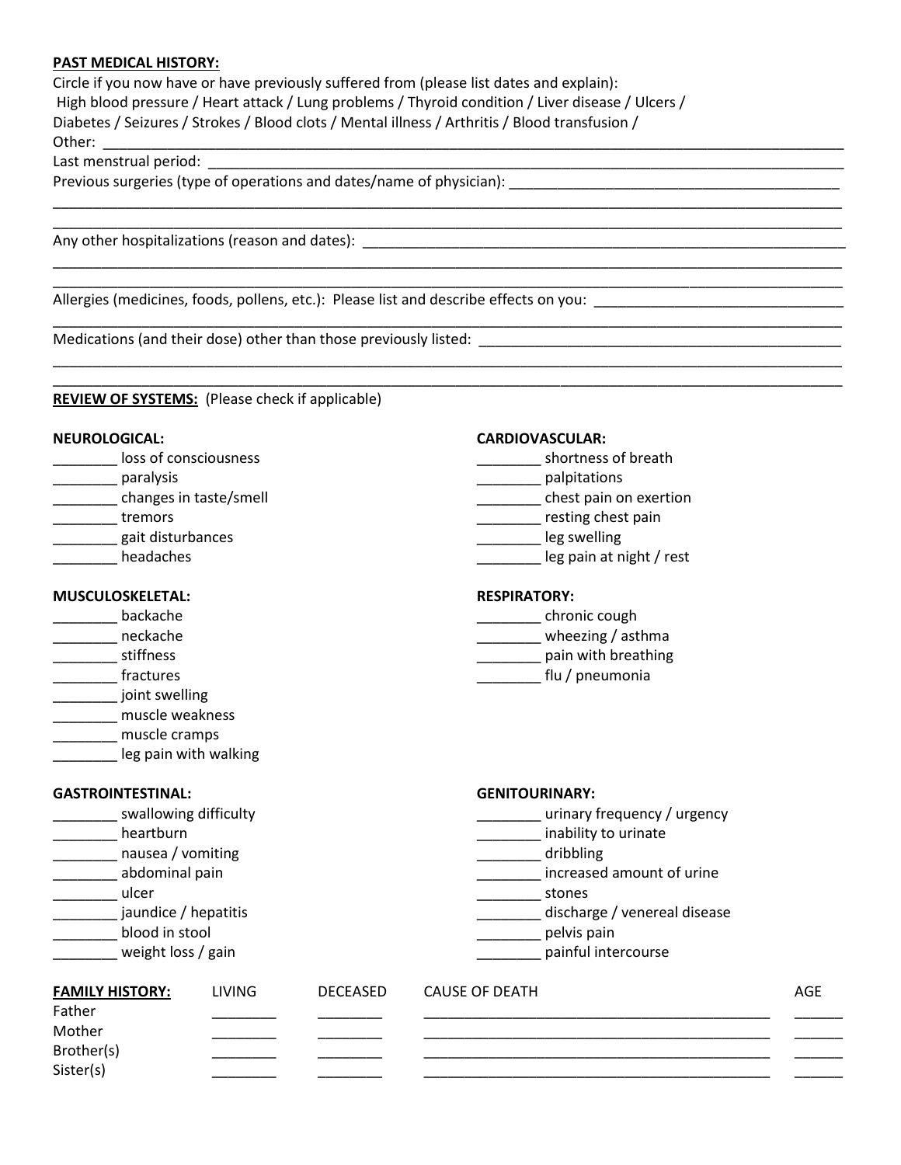#### **PAST MEDICAL HISTORY:**

Circle if you now have or have previously suffered from (please list dates and explain): High blood pressure / Heart attack / Lung problems / Thyroid condition / Liver disease / Ulcers / Diabetes / Seizures / Strokes / Blood clots / Mental illness / Arthritis / Blood transfusion / Other: \_\_\_\_\_\_\_\_\_\_\_\_\_\_\_\_\_\_\_\_\_\_\_\_\_\_\_\_\_\_\_\_\_\_\_\_\_\_\_\_\_\_\_\_\_\_\_\_\_\_\_\_\_\_\_\_\_\_\_\_\_\_\_\_\_\_\_\_\_\_\_\_\_\_\_\_\_\_\_\_\_\_\_\_\_\_\_\_\_\_\_\_

\_\_\_\_\_\_\_\_\_\_\_\_\_\_\_\_\_\_\_\_\_\_\_\_\_\_\_\_\_\_\_\_\_\_\_\_\_\_\_\_\_\_\_\_\_\_\_\_\_\_\_\_\_\_\_\_\_\_\_\_\_\_\_\_\_\_\_\_\_\_\_\_\_\_\_\_\_\_\_\_\_\_\_\_\_\_\_\_\_\_\_\_\_\_\_\_\_\_

\_\_\_\_\_\_\_\_\_\_\_\_\_\_\_\_\_\_\_\_\_\_\_\_\_\_\_\_\_\_\_\_\_\_\_\_\_\_\_\_\_\_\_\_\_\_\_\_\_\_\_\_\_\_\_\_\_\_\_\_\_\_\_\_\_\_\_\_\_\_\_\_\_\_\_\_\_\_\_\_\_\_\_\_\_\_\_\_\_\_\_\_\_\_\_\_\_\_ \_\_\_\_\_\_\_\_\_\_\_\_\_\_\_\_\_\_\_\_\_\_\_\_\_\_\_\_\_\_\_\_\_\_\_\_\_\_\_\_\_\_\_\_\_\_\_\_\_\_\_\_\_\_\_\_\_\_\_\_\_\_\_\_\_\_\_\_\_\_\_\_\_\_\_\_\_\_\_\_\_\_\_\_\_\_\_\_\_\_\_\_\_\_\_\_\_\_

\_\_\_\_\_\_\_\_\_\_\_\_\_\_\_\_\_\_\_\_\_\_\_\_\_\_\_\_\_\_\_\_\_\_\_\_\_\_\_\_\_\_\_\_\_\_\_\_\_\_\_\_\_\_\_\_\_\_\_\_\_\_\_\_\_\_\_\_\_\_\_\_\_\_\_\_\_\_\_\_\_\_\_\_\_\_\_\_\_\_\_\_\_\_\_\_\_\_

\_\_\_\_\_\_\_\_\_\_\_\_\_\_\_\_\_\_\_\_\_\_\_\_\_\_\_\_\_\_\_\_\_\_\_\_\_\_\_\_\_\_\_\_\_\_\_\_\_\_\_\_\_\_\_\_\_\_\_\_\_\_\_\_\_\_\_\_\_\_\_\_\_\_\_\_\_\_\_\_\_\_\_\_\_\_\_\_\_\_\_\_\_\_\_\_\_\_ \_\_\_\_\_\_\_\_\_\_\_\_\_\_\_\_\_\_\_\_\_\_\_\_\_\_\_\_\_\_\_\_\_\_\_\_\_\_\_\_\_\_\_\_\_\_\_\_\_\_\_\_\_\_\_\_\_\_\_\_\_\_\_\_\_\_\_\_\_\_\_\_\_\_\_\_\_\_\_\_\_\_\_\_\_\_\_\_\_\_\_\_\_\_\_\_\_\_

Last menstrual period:

Previous surgeries (type of operations and dates/name of physician):

Any other hospitalizations (reason and dates): \_\_\_\_\_\_\_\_\_\_\_\_\_\_\_\_\_\_\_\_\_\_\_\_\_\_\_\_\_\_\_\_\_\_\_\_\_\_\_\_\_\_\_\_\_\_\_\_\_\_\_\_\_\_\_\_\_\_\_\_

Allergies (medicines, foods, pollens, etc.): Please list and describe effects on you: \_\_\_\_\_\_\_\_\_\_\_\_\_\_\_\_\_\_\_\_\_\_\_\_\_\_\_\_\_\_\_

Medications (and their dose) other than those previously listed: \_\_\_\_\_\_\_\_\_\_\_\_\_\_\_\_\_\_\_\_\_\_\_\_\_\_\_\_\_\_\_\_\_\_\_\_\_\_\_\_\_\_\_\_\_

### **REVIEW OF SYSTEMS:** (Please check if applicable)

#### **NEUROLOGICAL: CARDIOVASCULAR:**

| loss of consciousness  | shortness of breath      |
|------------------------|--------------------------|
| paralysis              | palpitations             |
| changes in taste/smell | chest pain on exertion   |
| tremors                | resting chest pain       |
| gait disturbances      | leg swelling             |
| headaches              | leg pain at night / rest |

#### **MUSCULOSKELETAL: RESPIRATORY:**

- 
- 
- 
- \_\_\_\_\_\_\_\_ joint swelling
- \_\_\_\_\_\_\_\_ muscle weakness
- \_\_\_\_\_\_\_\_ muscle cramps
- leg pain with walking

## **GASTROINTESTINAL: GENITOURINARY:**

| swallowing difficulty |  |  |
|-----------------------|--|--|
|-----------------------|--|--|

- 
- \_\_\_\_\_\_\_\_ nausea / vomiting \_\_\_\_\_\_\_\_ dribbling
- 
- 
- 
- 
- 

- discretion of the chronic cough the chronic cough the chronic cough the chronic cough the chronic cough the chronic cough
- \_\_\_\_\_\_\_\_ neckache \_\_\_\_\_\_\_\_ wheezing / asthma
- \_\_\_\_\_\_\_\_ stiffness \_\_\_\_\_\_\_\_ pain with breathing
- \_\_\_\_\_\_\_\_ fractures \_\_\_\_\_\_\_\_ flu / pneumonia
	- y and the contract of the contract of the contract of the contract of the contract of the contract of the contract of the contract of the contract of the contract of the contract of the contract of the contract of the cont
- definition the intervals of the contract of the contract of the contract of the contract of the contract of the contract of the contract of the contract of the contract of the contract of the contract of the contract of th
	-
- \_\_\_\_\_\_\_\_ abdominal pain \_\_\_\_\_\_\_\_ increased amount of urine
- \_\_\_\_\_\_\_\_ ulcer \_\_\_\_\_\_\_\_ stones
- \_\_\_\_\_\_\_\_ jaundice / hepatitis \_\_\_\_\_\_\_\_ discharge / venereal disease
- \_\_\_\_\_\_\_\_ blood in stool \_\_\_\_\_\_\_\_ pelvis pain
- \_\_\_\_\_\_\_\_ weight loss / gain \_\_\_\_\_\_\_\_ painful intercourse

| <b>FAMILY HISTORY:</b> | <b>LIVING</b> | <b>DECEASED</b> | CAUSE OF DEATH | AGE |
|------------------------|---------------|-----------------|----------------|-----|
| Father                 |               |                 |                |     |
| Mother                 |               |                 |                |     |
| Brother(s)             |               |                 |                |     |
| Sister(s)              |               |                 |                |     |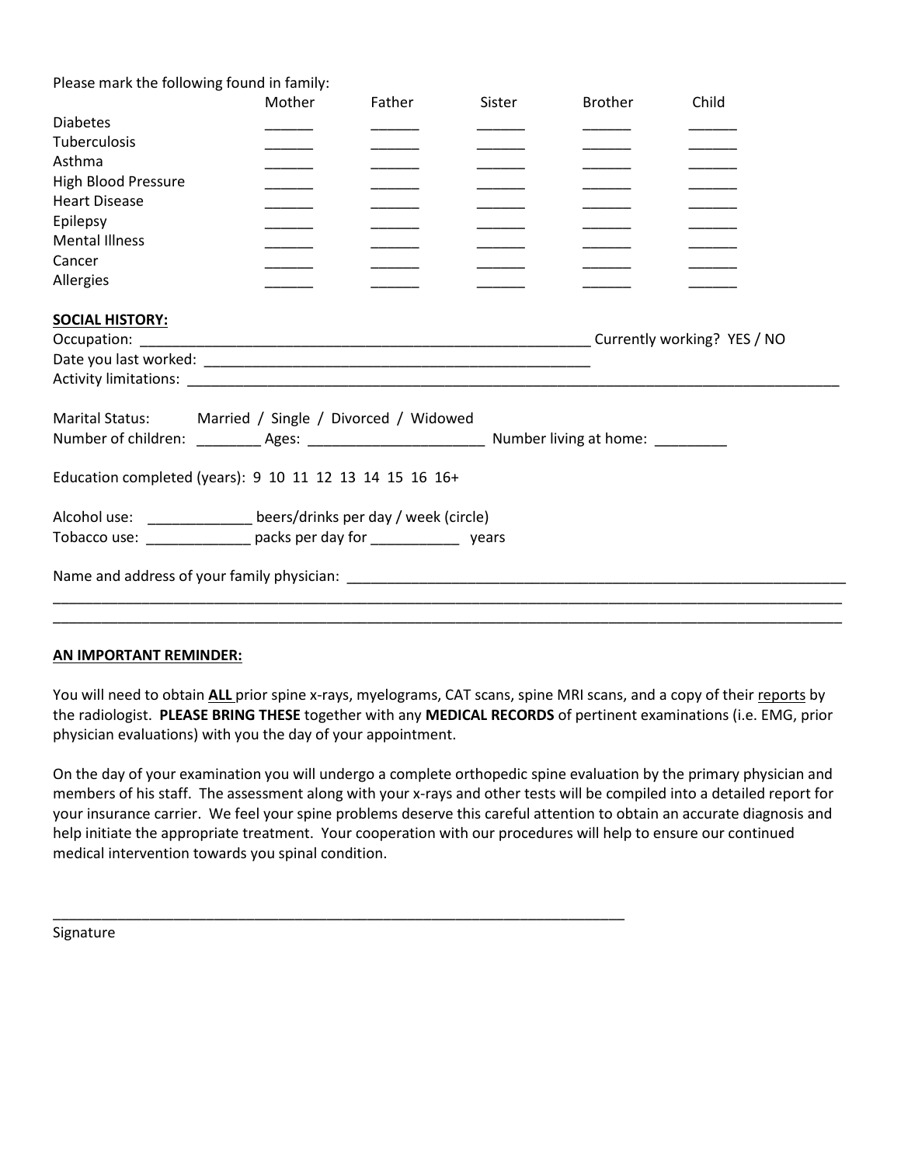| Please mark the following found in family:                           |                                       |        |        |                |       |
|----------------------------------------------------------------------|---------------------------------------|--------|--------|----------------|-------|
|                                                                      | Mother                                | Father | Sister | <b>Brother</b> | Child |
| <b>Diabetes</b>                                                      |                                       |        |        |                |       |
| <b>Tuberculosis</b>                                                  |                                       |        |        |                |       |
| Asthma                                                               |                                       |        |        |                |       |
| <b>High Blood Pressure</b>                                           |                                       |        |        |                |       |
| <b>Heart Disease</b>                                                 |                                       |        |        |                |       |
| Epilepsy                                                             |                                       |        |        |                |       |
| <b>Mental Illness</b>                                                |                                       |        |        |                |       |
| Cancer                                                               |                                       |        |        |                |       |
| Allergies                                                            |                                       |        |        |                |       |
| <b>SOCIAL HISTORY:</b>                                               |                                       |        |        |                |       |
| <b>Marital Status:</b>                                               | Married / Single / Divorced / Widowed |        |        |                |       |
|                                                                      |                                       |        |        |                |       |
|                                                                      |                                       |        |        |                |       |
| Education completed (years): 9 10 11 12 13 14 15 16 16+              |                                       |        |        |                |       |
| Alcohol use: ________________ beers/drinks per day / week (circle)   |                                       |        |        |                |       |
| Tobacco use: _______________ packs per day for _______________ years |                                       |        |        |                |       |
|                                                                      |                                       |        |        |                |       |
|                                                                      |                                       |        |        |                |       |

#### **AN IMPORTANT REMINDER:**

You will need to obtain **ALL** prior spine x-rays, myelograms, CAT scans, spine MRI scans, and a copy of their reports by the radiologist. **PLEASE BRING THESE** together with any **MEDICAL RECORDS** of pertinent examinations (i.e. EMG, prior physician evaluations) with you the day of your appointment.

On the day of your examination you will undergo a complete orthopedic spine evaluation by the primary physician and members of his staff. The assessment along with your x-rays and other tests will be compiled into a detailed report for your insurance carrier. We feel your spine problems deserve this careful attention to obtain an accurate diagnosis and help initiate the appropriate treatment. Your cooperation with our procedures will help to ensure our continued medical intervention towards you spinal condition.

\_\_\_\_\_\_\_\_\_\_\_\_\_\_\_\_\_\_\_\_\_\_\_\_\_\_\_\_\_\_\_\_\_\_\_\_\_\_\_\_\_\_\_\_\_\_\_\_\_\_\_\_\_\_\_\_\_\_\_\_\_\_\_\_\_\_\_\_\_\_\_

Signature